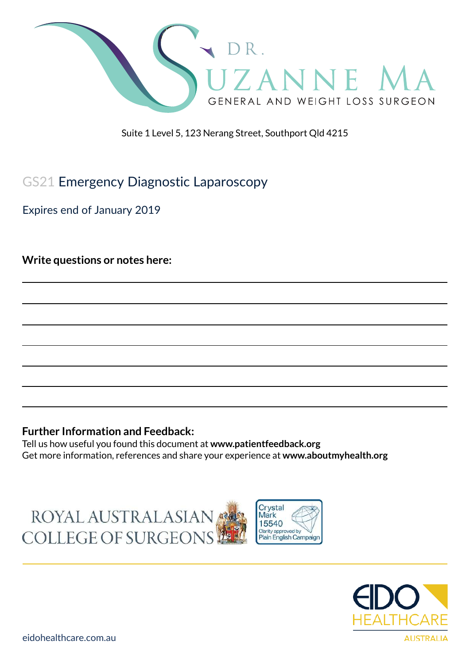

Suite 1 Level 5, 123 Nerang Street, Southport Qld 4215

# GS21 Emergency Diagnostic Laparoscopy

Expires end of January 2019

**Write questions or notes here:**

#### **Further Information and Feedback:**

Tell us how useful you found this document at **www.patientfeedback.org** Get more information, references and share your experience at **www.aboutmyhealth.org**





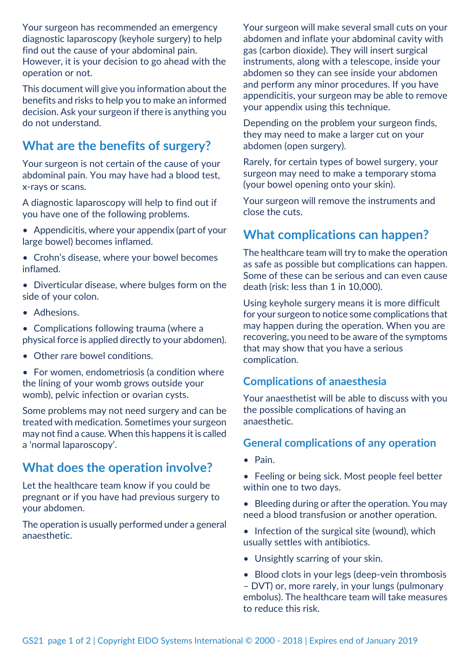Your surgeon has recommended an emergency diagnostic laparoscopy (keyhole surgery) to help find out the cause of your abdominal pain. However, it is your decision to go ahead with the operation or not.

This document will give you information about the benefits and risks to help you to make an informed decision. Ask your surgeon if there is anything you do not understand.

## **What are the benefits of surgery?**

Your surgeon is not certain of the cause of your abdominal pain. You may have had a blood test, x-rays or scans.

A diagnostic laparoscopy will help to find out if you have one of the following problems.

- Appendicitis, where your appendix (part of your large bowel) becomes inflamed.
- Crohn's disease, where your bowel becomes inflamed.
- Diverticular disease, where bulges form on the side of your colon.
- Adhesions.
- Complications following trauma (where a physical force is applied directly to your abdomen).
- Other rare bowel conditions.

• For women, endometriosis (a condition where the lining of your womb grows outside your womb), pelvic infection or ovarian cysts.

Some problems may not need surgery and can be treated with medication. Sometimes your surgeon may not find a cause. When this happens it is called a 'normal laparoscopy'.

### **What does the operation involve?**

Let the healthcare team know if you could be pregnant or if you have had previous surgery to your abdomen.

The operation is usually performed under a general anaesthetic.

Your surgeon will make several small cuts on your abdomen and inflate your abdominal cavity with gas (carbon dioxide). They will insert surgical instruments, along with a telescope, inside your abdomen so they can see inside your abdomen and perform any minor procedures. If you have appendicitis, your surgeon may be able to remove your appendix using this technique.

Depending on the problem your surgeon finds, they may need to make a larger cut on your abdomen (open surgery).

Rarely, for certain types of bowel surgery, your surgeon may need to make a temporary stoma (your bowel opening onto your skin).

Your surgeon will remove the instruments and close the cuts.

### **What complications can happen?**

The healthcare team will try to make the operation as safe as possible but complications can happen. Some of these can be serious and can even cause death (risk: less than 1 in 10,000).

Using keyhole surgery means it is more difficult for your surgeon to notice some complications that may happen during the operation. When you are recovering, you need to be aware of the symptoms that may show that you have a serious complication.

#### **Complications of anaesthesia**

Your anaesthetist will be able to discuss with you the possible complications of having an anaesthetic.

#### **General complications of any operation**

- Pain.
- Feeling or being sick. Most people feel better within one to two days.
- Bleeding during or after the operation. You may need a blood transfusion or another operation.
- Infection of the surgical site (wound), which usually settles with antibiotics.
- Unsightly scarring of your skin.
- Blood clots in your legs (deep-vein thrombosis

– DVT) or, more rarely, in your lungs (pulmonary embolus). The healthcare team will take measures to reduce this risk.